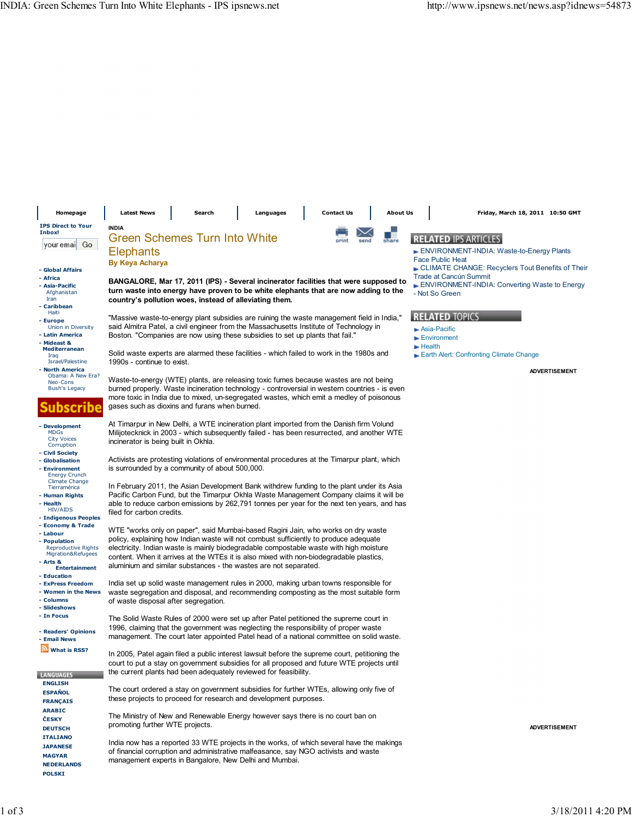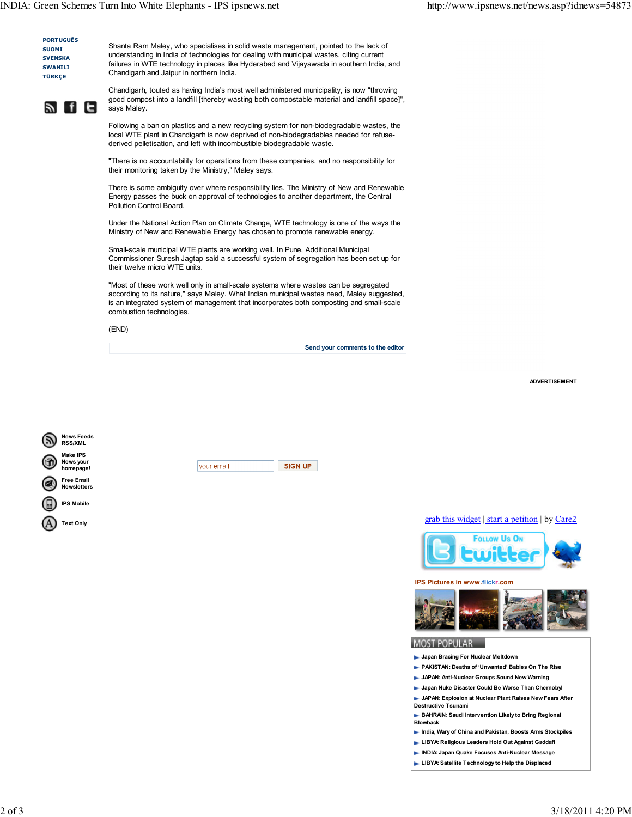

Shanta Ram Maley, who specialises in solid waste management, pointed to the lack of understanding in India of technologies for dealing with municipal wastes, citing current failures in WTE technology in places like Hyderabad and Vijayawada in southern India, and Chandigarh and Jaipur in northern India.

<u>র fie</u>

Chandigarh, touted as having India's most well administered municipality, is now "throwing good compost into a landfill [thereby wasting both compostable material and landfill space]", says Maley.

Following a ban on plastics and a new recycling system for non-biodegradable wastes, the local WTE plant in Chandigarh is now deprived of non-biodegradables needed for refusederived pelletisation, and left with incombustible biodegradable waste.

"There is no accountability for operations from these companies, and no responsibility for their monitoring taken by the Ministry," Maley says.

There is some ambiguity over where responsibility lies. The Ministry of New and Renewable Energy passes the buck on approval of technologies to another department, the Central Pollution Control Board.

Under the National Action Plan on Climate Change, WTE technology is one of the ways the Ministry of New and Renewable Energy has chosen to promote renewable energy.

Small-scale municipal WTE plants are working well. In Pune, Additional Municipal Commissioner Suresh Jagtap said a successful system of segregation has been set up for their twelve micro WTE units.

"Most of these work well only in small-scale systems where wastes can be segregated according to its nature," says Maley. What Indian municipal wastes need, Maley suggested, is an integrated system of management that incorporates both composting and small-scale combustion technologies.

(END)

Send your comments to the editor

ADVERTISEMENT



grab this widget | start a petition | by Care2



IPS Pictures in www.flickr.com



## **MOST POPULAR**

- **Japan Bracing For Nuclear Meltdown**
- PAKISTAN: Deaths of 'Unwanted' Babies On The Rise
- **JAPAN: Anti-Nuclear Groups Sound New Warning**
- **Japan Nuke Disaster Could Be Worse Than Chernobyl**
- **JAPAN: Explosion at Nuclear Plant Raises New Fears After** Destructive Tsunami
- **BAHRAIN: Saudi Intervention Likely to Bring Regional** Blowback
- India, Wary of China and Pakistan, Boosts Arms Stockpiles
- **LIBYA: Religious Leaders Hold Out Against Gaddafi**
- INDIA: Japan Quake Focuses Anti-Nuclear Message
- **LIBYA: Satellite Technology to Help the Displaced**